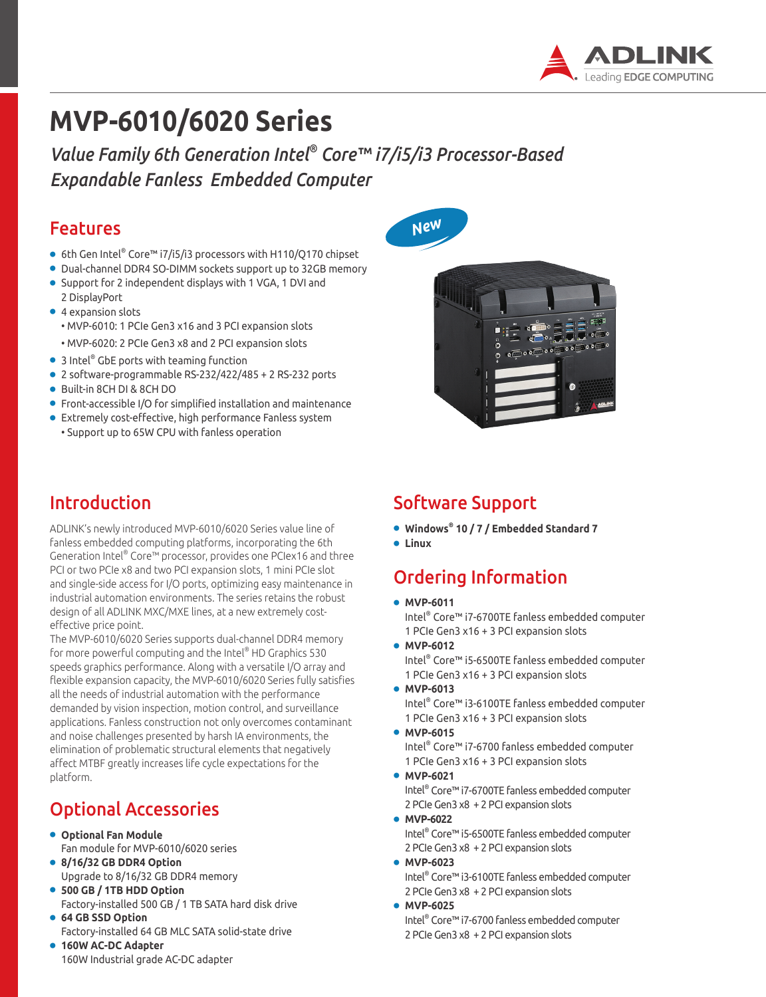

# **MVP-6010/6020 Series**

*Value Family 6th Generation Intel® Core™ i7/i5/i3 Processor-Based Expandable Fanless Embedded Computer*

### Features

- $\bullet \,$  6th Gen Intel® Core™ i7/i5/i3 processors with H110/Q170 chipset
- Dual-channel DDR4 SO-DIMM sockets support up to 32GB memory
- Support for 2 independent displays with 1 VGA, 1 DVI and
- 2 DisplayPort ● 4 expansion slots • MVP-6010: 1 PCIe Gen3 x16 and 3 PCI expansion slots
	- MVP-6020: 2 PCIe Gen3 x8 and 2 PCI expansion slots
- $\bullet$  3 Intel $^\circ$  GbE ports with teaming function
- 2 software-programmable RS-232/422/485 + 2 RS-232 ports
- Built-in 8CH DI & 8CH DO
- Front-accessible I/O for simplified installation and maintenance
- Extremely cost-effective, high performance Fanless system • Support up to 65W CPU with fanless operation

## Introduction

ADLINK's newly introduced MVP-6010/6020 Series value line of fanless embedded computing platforms, incorporating the 6th Generation Intel® Core™ processor, provides one PCIex16 and three PCI or two PCIe x8 and two PCI expansion slots, 1 mini PCIe slot and single-side access for I/O ports, optimizing easy maintenance in industrial automation environments. The series retains the robust design of all ADLINK MXC/MXE lines, at a new extremely costeffective price point.

The MVP-6010/6020 Series supports dual-channel DDR4 memory for more powerful computing and the Intel® HD Graphics 530 speeds graphics performance. Along with a versatile I/O array and flexible expansion capacity, the MVP-6010/6020 Series fully satisfies all the needs of industrial automation with the performance demanded by vision inspection, motion control, and surveillance applications. Fanless construction not only overcomes contaminant and noise challenges presented by harsh IA environments, the elimination of problematic structural elements that negatively affect MTBF greatly increases life cycle expectations for the platform.

## Optional Accessories

- **Optional Fan Module** Fan module for MVP-6010/6020 series
- **8/16/32 GB DDR4 Option** Upgrade to 8/16/32 GB DDR4 memory
- **500 GB / 1TB HDD Option** Factory-installed 500 GB / 1 TB SATA hard disk drive
- **64 GB SSD Option** Factory-installed 64 GB MLC SATA solid-state drive
- **160W AC-DC Adapter** 160W Industrial grade AC-DC adapter





## Software Support

- **Windows® 10 / 7 / Embedded Standard 7**
- **Linux**

## Ordering Information

● **MVP-6011** 

Intel® Core™ i7-6700TE fanless embedded computer 1 PCIe Gen3 x16 + 3 PCI expansion slots

- **MVP-6012**  Intel® Core™ i5-6500TE fanless embedded computer
	- 1 PCIe Gen3 x16 + 3 PCI expansion slots
- **MVP-6013**

Intel® Core™ i3-6100TE fanless embedded computer 1 PCIe Gen3 x16 + 3 PCI expansion slots

- **MVP-6015**
	- Intel® Core™ i7-6700 fanless embedded computer 1 PCIe Gen3 x16 + 3 PCI expansion slots
- **MVP-6021**  Intel® Core™ i7-6700TE fanless embedded computer 2 PCIe Gen3 x8 + 2 PCI expansion slots
- **MVP-6022**  Intel® Core™ i5-6500TE fanless embedded computer 2 PCIe Gen3 x8 + 2 PCI expansion slots
- **MVP-6023** Intel® Core™ i3-6100TE fanless embedded computer
- 2 PCIe Gen3 x8 + 2 PCI expansion slots ● **MVP-6025**
- Intel® Core™ i7-6700 fanless embedded computer 2 PCIe Gen3 x8 + 2 PCI expansion slots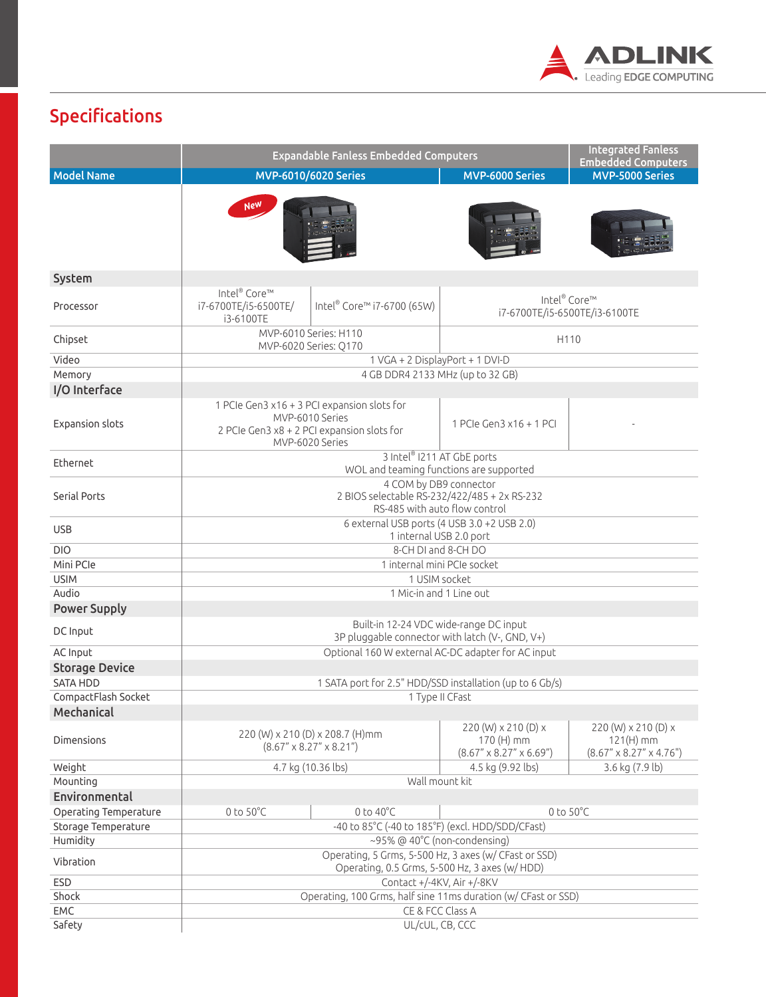

## Specifications

|                                 | <b>Expandable Fanless Embedded Computers</b>                                                                                    |                                                                           |                                                                             | <b>Integrated Fanless</b><br><b>Embedded Computers</b>                       |
|---------------------------------|---------------------------------------------------------------------------------------------------------------------------------|---------------------------------------------------------------------------|-----------------------------------------------------------------------------|------------------------------------------------------------------------------|
| <b>Model Name</b>               | MVP-6010/6020 Series                                                                                                            |                                                                           | <b>MVP-6000 Series</b>                                                      | <b>MVP-5000 Series</b>                                                       |
|                                 | <b>New</b>                                                                                                                      |                                                                           |                                                                             |                                                                              |
| System                          |                                                                                                                                 |                                                                           |                                                                             |                                                                              |
| Processor                       | Intel® Core™<br>Intel® Core™ i7-6700 (65W)<br>i7-6700TE/i5-6500TE/<br>i3-6100TE                                                 |                                                                           | Intel® Core™<br>i7-6700TE/i5-6500TE/i3-6100TE                               |                                                                              |
| Chipset                         | MVP-6010 Series: H110<br>H110<br>MVP-6020 Series: Q170                                                                          |                                                                           |                                                                             |                                                                              |
| Video                           | 1 VGA + 2 DisplayPort + 1 DVI-D                                                                                                 |                                                                           |                                                                             |                                                                              |
| Memory                          | 4 GB DDR4 2133 MHz (up to 32 GB)                                                                                                |                                                                           |                                                                             |                                                                              |
| I/O Interface                   |                                                                                                                                 |                                                                           |                                                                             |                                                                              |
| <b>Expansion slots</b>          | 1 PCIe Gen3 x16 + 3 PCI expansion slots for<br>MVP-6010 Series<br>2 PCIe Gen3 x8 + 2 PCI expansion slots for<br>MVP-6020 Series |                                                                           | 1 PCIe Gen3 x16 + 1 PCI                                                     |                                                                              |
| <b>Fthernet</b>                 | 3 Intel® 1211 AT GbE ports<br>WOL and teaming functions are supported                                                           |                                                                           |                                                                             |                                                                              |
| Serial Ports                    | 4 COM by DB9 connector<br>2 BIOS selectable RS-232/422/485 + 2x RS-232<br>RS-485 with auto flow control                         |                                                                           |                                                                             |                                                                              |
| <b>USB</b>                      | 6 external USB ports (4 USB 3.0 +2 USB 2.0)<br>1 internal USB 2.0 port                                                          |                                                                           |                                                                             |                                                                              |
| <b>DIO</b>                      | 8-CH DI and 8-CH DO                                                                                                             |                                                                           |                                                                             |                                                                              |
| Mini PCle                       | 1 internal mini PCIe socket                                                                                                     |                                                                           |                                                                             |                                                                              |
| <b>USIM</b>                     | 1 USIM socket                                                                                                                   |                                                                           |                                                                             |                                                                              |
| Audio<br><b>Power Supply</b>    | 1 Mic-in and 1 Line out                                                                                                         |                                                                           |                                                                             |                                                                              |
| DC Input                        | Built-in 12-24 VDC wide-range DC input<br>3P pluggable connector with latch (V-, GND, V+)                                       |                                                                           |                                                                             |                                                                              |
| AC Input                        | Optional 160 W external AC-DC adapter for AC input                                                                              |                                                                           |                                                                             |                                                                              |
| <b>Storage Device</b>           |                                                                                                                                 |                                                                           |                                                                             |                                                                              |
| <b>SATA HDD</b>                 | 1 SATA port for 2.5" HDD/SSD installation (up to 6 Gb/s)                                                                        |                                                                           |                                                                             |                                                                              |
| CompactFlash Socket             | 1 Type II CFast                                                                                                                 |                                                                           |                                                                             |                                                                              |
| Mechanical<br><b>Dimensions</b> |                                                                                                                                 | 220 (W) x 210 (D) x 208.7 (H)mm<br>$(8.67'' \times 8.27'' \times 8.21'')$ | 220 (W) x 210 (D) x<br>170 (H) mm<br>$(8.67'' \times 8.27'' \times 6.69'')$ | 220 (W) x 210 (D) x<br>$121(H)$ mm<br>$(8.67'' \times 8.27'' \times 4.76'')$ |
| Weight                          | 4.7 kg (10.36 lbs)                                                                                                              |                                                                           | 4.5 kg (9.92 lbs)                                                           | 3.6 kg (7.9 lb)                                                              |
| Mounting                        | Wall mount kit                                                                                                                  |                                                                           |                                                                             |                                                                              |
| Environmental                   |                                                                                                                                 |                                                                           |                                                                             |                                                                              |
| Operating Temperature           | $0$ to $50^{\circ}$ C                                                                                                           | $0$ to $40^{\circ}$ C                                                     | $0$ to $50^{\circ}$ C                                                       |                                                                              |
| Storage Temperature             | -40 to 85°C (-40 to 185°F) (excl. HDD/SDD/CFast)                                                                                |                                                                           |                                                                             |                                                                              |
| Humidity                        | $\sim$ 95% @ 40°C (non-condensing)                                                                                              |                                                                           |                                                                             |                                                                              |
| Vibration                       | Operating, 5 Grms, 5-500 Hz, 3 axes (w/ CFast or SSD)<br>Operating, 0.5 Grms, 5-500 Hz, 3 axes (w/ HDD)                         |                                                                           |                                                                             |                                                                              |
| <b>ESD</b>                      | Contact +/-4KV, Air +/-8KV                                                                                                      |                                                                           |                                                                             |                                                                              |
| Shock                           | Operating, 100 Grms, half sine 11ms duration (w/ CFast or SSD)                                                                  |                                                                           |                                                                             |                                                                              |
| EMC                             | CE & FCC Class A                                                                                                                |                                                                           |                                                                             |                                                                              |
| Safety                          | UL/cUL, CB, CCC                                                                                                                 |                                                                           |                                                                             |                                                                              |